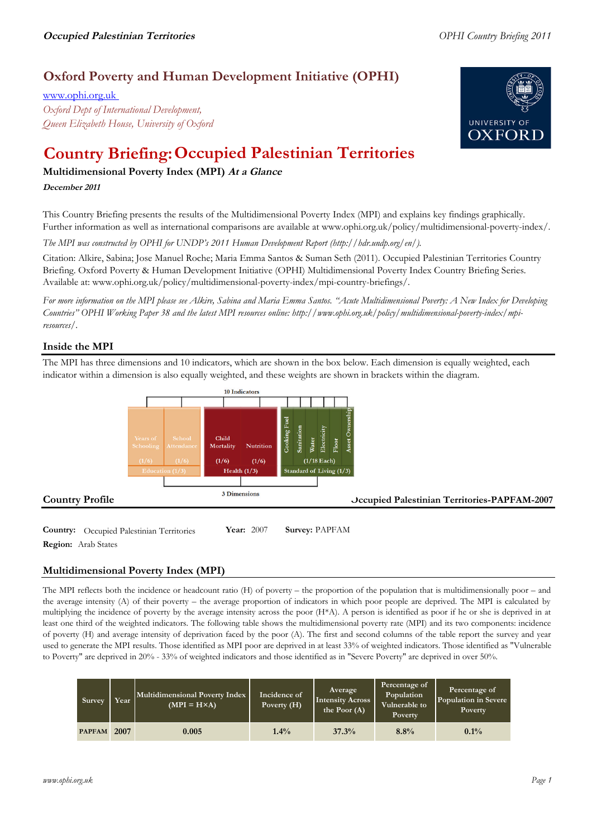# **Oxford Poverty and Human Development Initiative (OPHI)**

www.ophi.org.uk *Oxford Dept of International Development, Queen Elizabeth House, University of Oxford*



# **Country Briefing: Occupied Palestinian Territories**

# **Multidimensional Poverty Index (MPI) At <sup>a</sup> Glance**

#### **December <sup>2011</sup>**

This Country Briefing presents the results of the Multidimensional Poverty Index (MPI) and explains key findings graphically. Further information as well as international comparisons are available at www.ophi.org.uk/policy/multidimensional-poverty-index/.

*The MPI was constructed by OPHI for UNDP's 2011 Human Development Report (http://hdr.undp.org/en/).*

Citation: Alkire, Sabina; Jose Manuel Roche; Maria Emma Santos & Suman Seth (2011). Occupied Palestinian Territories Country Briefing. Oxford Poverty & Human Development Initiative (OPHI) Multidimensional Poverty Index Country Briefing Series. Available at: www.ophi.org.uk/policy/multidimensional-poverty-index/mpi-country-briefings/.

*For more information on the MPI please see Alkire, Sabina and Maria Emma Santos. "Acute Multidimensional Poverty: A New Index for Developing Countries" OPHI Working Paper 38 and the latest MPI resources online: http://www.ophi.org.uk/policy/multidimensional-poverty-index/mpiresources/.*

### **Inside the MPI**

The MPI has three dimensions and 10 indicators, which are shown in the box below. Each dimension is equally weighted, each indicator within a dimension is also equally weighted, and these weights are shown in brackets within the diagram.



**Country:** Occupied Palestinian Territories **Year:** 2007 **Survey:** PAPFAM **Region:** Arab States

# **Multidimensional Poverty Index (MPI)**

The MPI reflects both the incidence or headcount ratio (H) of poverty – the proportion of the population that is multidimensionally poor – and the average intensity (A) of their poverty – the average proportion of indicators in which poor people are deprived. The MPI is calculated by multiplying the incidence of poverty by the average intensity across the poor (H\*A). A person is identified as poor if he or she is deprived in at least one third of the weighted indicators. The following table shows the multidimensional poverty rate (MPI) and its two components: incidence of poverty (H) and average intensity of deprivation faced by the poor (A). The first and second columns of the table report the survey and year used to generate the MPI results. Those identified as MPI poor are deprived in at least 33% of weighted indicators. Those identified as "Vulnerable to Poverty" are deprived in 20% - 33% of weighted indicators and those identified as in "Severe Poverty" are deprived in over 50%.

| Survey        | Year | Multidimensional Poverty Index<br>$(MPI = H \times A)$ | Incidence of<br>Poverty $(H)$ | Average<br><b>Intensity Across</b><br>the Poor $(A)$ | Percentage of<br>Population<br>Vulnerable to<br>Poverty | Percentage of<br>Population in Severe<br>Poverty |
|---------------|------|--------------------------------------------------------|-------------------------------|------------------------------------------------------|---------------------------------------------------------|--------------------------------------------------|
| <b>PAPFAM</b> | 2007 | 0.005                                                  | $1.4\%$                       | 37.3%                                                | 8.8%                                                    | $0.1\%$                                          |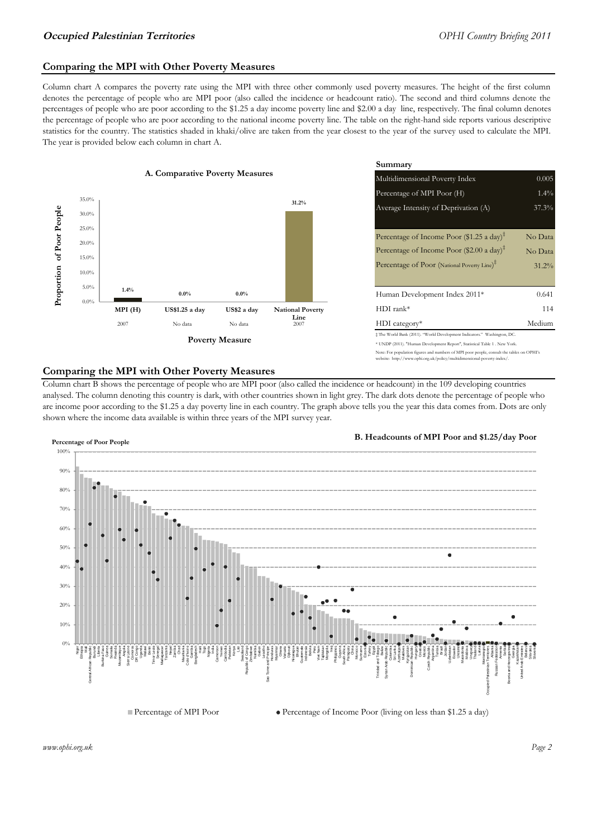#### **Comparing the MPI with Other Poverty Measures**

Column chart A compares the poverty rate using the MPI with three other commonly used poverty measures. The height of the first column denotes the percentage of people who are MPI poor (also called the incidence or headcount ratio). The second and third columns denote the percentages of people who are poor according to the \$1.25 a day income poverty line and \$2.00 a day line, respectively. The final column denotes the percentage of people who are poor according to the national income poverty line. The table on the right-hand side reports various descriptive statistics for the country. The statistics shaded in khaki/olive are taken from the year closest to the year of the survey used to calculate the MPI. The year is provided below each column in chart A.



|                 |                         | Summary                                                                                                                                                    |          |  |  |
|-----------------|-------------------------|------------------------------------------------------------------------------------------------------------------------------------------------------------|----------|--|--|
| erty Measures   |                         | 0.005<br>Multidimensional Poverty Index                                                                                                                    |          |  |  |
|                 |                         | Percentage of MPI Poor (H)                                                                                                                                 | $1.4\%$  |  |  |
|                 | 31.2%                   | Average Intensity of Deprivation (A)                                                                                                                       | 37.3%    |  |  |
|                 |                         | Percentage of Income Poor (\$1.25 a day) <sup><math>\ddagger</math></sup>                                                                                  | No Data  |  |  |
|                 |                         | Percentage of Income Poor (\$2.00 a day) <sup><math>\bar{x}</math></sup>                                                                                   | No Data  |  |  |
|                 |                         | Percentage of Poor (National Poverty Line) <sup>#</sup>                                                                                                    | $31.2\%$ |  |  |
| $0.0\%$         |                         | Human Development Index 2011*                                                                                                                              | 0.641    |  |  |
| US\$2 a day     | <b>National Poverty</b> | $HDI$ rank*                                                                                                                                                | 114      |  |  |
| No data         | Line<br>2007            | $HDI category*$                                                                                                                                            | Medium   |  |  |
| <b>⁄Ieasure</b> |                         | $\pm$ The World Bank (2011). "World Development Indicators." Washington, DC.<br>* UNDP (2011). "Human Development Report", Statistical Table 1 . New York. |          |  |  |

e: For population figures and numbers of MPI poor people, consult the tables on OPHI's te: http://www.ophi.org.uk/policy/multidimensional-poverty-index/

#### **Comparing the MPI with Other Poverty Measures**

Column chart B shows the percentage of people who are MPI poor (also called the incidence or headcount) in the 109 developing countries analysed. The column denoting this country is dark, with other countries shown in light grey. The dark dots denote the percentage of people who are income poor according to the \$1.25 a day poverty line in each country. The graph above tells you the year this data comes from. Dots are only shown where the income data available is within three years of the MPI survey year.



**B. Headcounts of MPI Poor and \$1.25/day Poor**

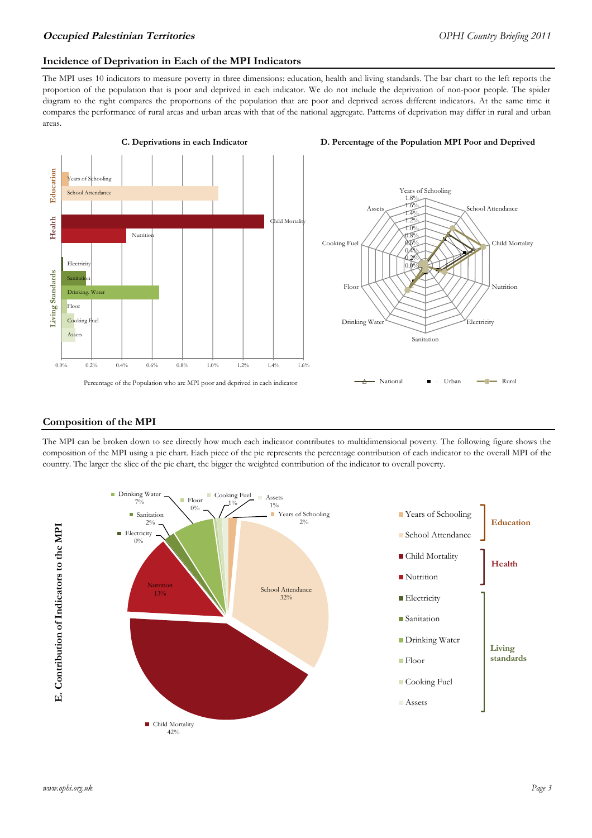#### **Incidence of Deprivation in Each of the MPI Indicators**

The MPI uses 10 indicators to measure poverty in three dimensions: education, health and living standards. The bar chart to the left reports the proportion of the population that is poor and deprived in each indicator. We do not include the deprivation of non-poor people. The spider diagram to the right compares the proportions of the population that are poor and deprived across different indicators. At the same time it compares the performance of rural areas and urban areas with that of the national aggregate. Patterns of deprivation may differ in rural and urban areas.



#### **Composition of the MPI**

The MPI can be broken down to see directly how much each indicator contributes to multidimensional poverty. The following figure shows the composition of the MPI using a pie chart. Each piece of the pie represents the percentage contribution of each indicator to the overall MPI of the country. The larger the slice of the pie chart, the bigger the weighted contribution of the indicator to overall poverty.